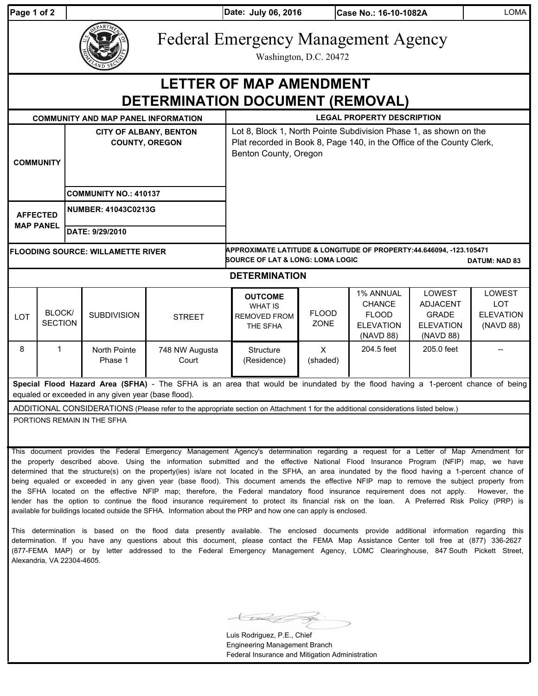| Page 1 of 2                                                                                                                                                                           |                                 |                                                        |                                            |                         | Date: July 06, 2016                                                                                                                                                 |                             | Case No.: 16-10-1082A                                                       |                                                                                   | LOMA                                                  |
|---------------------------------------------------------------------------------------------------------------------------------------------------------------------------------------|---------------------------------|--------------------------------------------------------|--------------------------------------------|-------------------------|---------------------------------------------------------------------------------------------------------------------------------------------------------------------|-----------------------------|-----------------------------------------------------------------------------|-----------------------------------------------------------------------------------|-------------------------------------------------------|
|                                                                                                                                                                                       |                                 |                                                        |                                            |                         | <b>Federal Emergency Management Agency</b><br>Washington, D.C. 20472                                                                                                |                             |                                                                             |                                                                                   |                                                       |
| <b>LETTER OF MAP AMENDMENT</b><br><b>DETERMINATION DOCUMENT (REMOVAL)</b>                                                                                                             |                                 |                                                        |                                            |                         |                                                                                                                                                                     |                             |                                                                             |                                                                                   |                                                       |
|                                                                                                                                                                                       |                                 |                                                        | <b>COMMUNITY AND MAP PANEL INFORMATION</b> |                         | <b>LEGAL PROPERTY DESCRIPTION</b>                                                                                                                                   |                             |                                                                             |                                                                                   |                                                       |
| <b>COMMUNITY</b>                                                                                                                                                                      |                                 | <b>CITY OF ALBANY, BENTON</b><br><b>COUNTY, OREGON</b> |                                            |                         | Lot 8, Block 1, North Pointe Subdivision Phase 1, as shown on the<br>Plat recorded in Book 8, Page 140, in the Office of the County Clerk,<br>Benton County, Oregon |                             |                                                                             |                                                                                   |                                                       |
|                                                                                                                                                                                       |                                 | <b>COMMUNITY NO.: 410137</b>                           |                                            |                         |                                                                                                                                                                     |                             |                                                                             |                                                                                   |                                                       |
| <b>AFFECTED</b><br><b>MAP PANEL</b>                                                                                                                                                   |                                 | <b>NUMBER: 41043C0213G</b>                             |                                            |                         |                                                                                                                                                                     |                             |                                                                             |                                                                                   |                                                       |
|                                                                                                                                                                                       |                                 | DATE: 9/29/2010                                        |                                            |                         |                                                                                                                                                                     |                             |                                                                             |                                                                                   |                                                       |
| <b>FLOODING SOURCE: WILLAMETTE RIVER</b>                                                                                                                                              |                                 |                                                        |                                            |                         | APPROXIMATE LATITUDE & LONGITUDE OF PROPERTY:44.646094, -123.105471<br><b>SOURCE OF LAT &amp; LONG: LOMA LOGIC</b><br><b>DATUM: NAD 83</b>                          |                             |                                                                             |                                                                                   |                                                       |
| <b>DETERMINATION</b>                                                                                                                                                                  |                                 |                                                        |                                            |                         |                                                                                                                                                                     |                             |                                                                             |                                                                                   |                                                       |
| <b>LOT</b>                                                                                                                                                                            | <b>BLOCK/</b><br><b>SECTION</b> |                                                        | <b>SUBDIVISION</b>                         | <b>STREET</b>           | <b>OUTCOME</b><br><b>WHAT IS</b><br><b>REMOVED FROM</b><br>THE SFHA                                                                                                 | <b>FLOOD</b><br><b>ZONE</b> | 1% ANNUAL<br><b>CHANCE</b><br><b>FLOOD</b><br><b>ELEVATION</b><br>(NAVD 88) | <b>LOWEST</b><br><b>ADJACENT</b><br><b>GRADE</b><br><b>ELEVATION</b><br>(NAVD 88) | LOWEST<br><b>LOT</b><br><b>ELEVATION</b><br>(NAVD 88) |
| 8                                                                                                                                                                                     | $\mathbf{1}$                    |                                                        | North Pointe<br>Phase 1                    | 748 NW Augusta<br>Court | Structure<br>(Residence)                                                                                                                                            | X<br>(shaded)               | 204.5 feet                                                                  | 205.0 feet                                                                        |                                                       |
| Special Flood Hazard Area (SFHA) - The SFHA is an area that would be inundated by the flood having a 1-percent chance of being<br>equaled or exceeded in any given year (base flood). |                                 |                                                        |                                            |                         |                                                                                                                                                                     |                             |                                                                             |                                                                                   |                                                       |
| ADDITIONAL CONSIDERATIONS (Please refer to the appropriate section on Attachment 1 for the additional considerations listed below.)                                                   |                                 |                                                        |                                            |                         |                                                                                                                                                                     |                             |                                                                             |                                                                                   |                                                       |
| PORTIONS REMAIN IN THE SFHA                                                                                                                                                           |                                 |                                                        |                                            |                         |                                                                                                                                                                     |                             |                                                                             |                                                                                   |                                                       |

This document provides the Federal Emergency Management Agency's determination regarding a request for a Letter of Map Amendment for the property described above. Using the information submitted and the effective National Flood Insurance Program (NFIP) map, we have determined that the structure(s) on the property(ies) is/are not located in the SFHA, an area inundated by the flood having a 1-percent chance of being equaled or exceeded in any given year (base flood). This document amends the effective NFIP map to remove the subject property from the SFHA located on the effective NFIP map; therefore, the Federal mandatory flood insurance requirement does not apply. However, the lender has the option to continue the flood insurance requirement to protect its financial risk on the loan. A Preferred Risk Policy (PRP) is available for buildings located outside the SFHA. Information about the PRP and how one can apply is enclosed.

This determination is based on the flood data presently available. The enclosed documents provide additional information regarding this determination. If you have any questions about this document, please contact the FEMA Map Assistance Center toll free at (877) 336-2627 (877-FEMA MAP) or by letter addressed to the Federal Emergency Management Agency, LOMC Clearinghouse, 847 South Pickett Street, Alexandria, VA 22304-4605.

Luis Rodriguez, P.E., Chief Engineering Management Branch Federal Insurance and Mitigation Administration